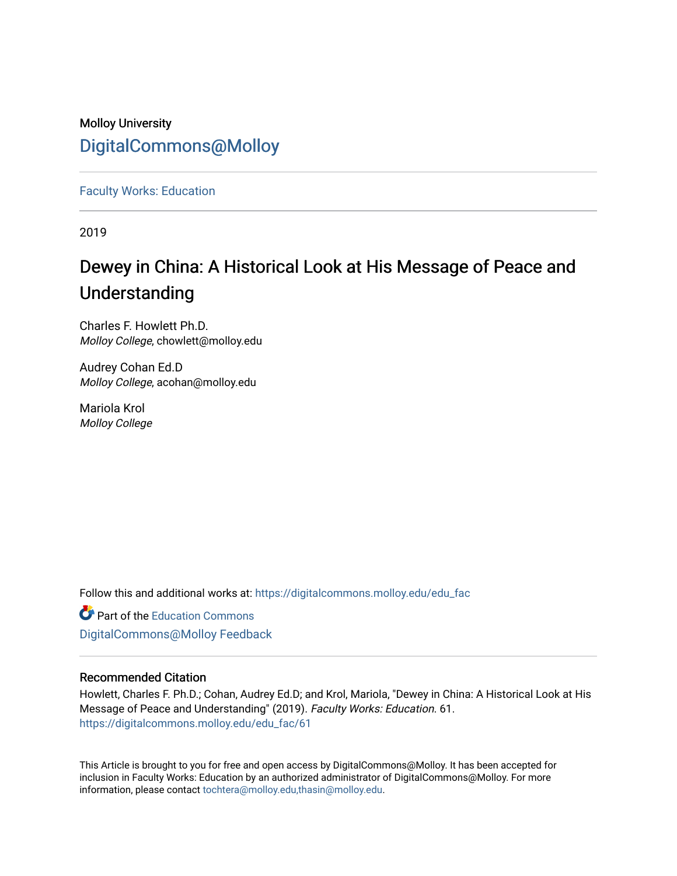## Molloy University [DigitalCommons@Molloy](https://digitalcommons.molloy.edu/)

[Faculty Works: Education](https://digitalcommons.molloy.edu/edu_fac) 

2019

## Dewey in China: A Historical Look at His Message of Peace and Understanding

Charles F. Howlett Ph.D. Molloy College, chowlett@molloy.edu

Audrey Cohan Ed.D Molloy College, acohan@molloy.edu

Mariola Krol Molloy College

Follow this and additional works at: [https://digitalcommons.molloy.edu/edu\\_fac](https://digitalcommons.molloy.edu/edu_fac?utm_source=digitalcommons.molloy.edu%2Fedu_fac%2F61&utm_medium=PDF&utm_campaign=PDFCoverPages)

**Part of the [Education Commons](https://network.bepress.com/hgg/discipline/784?utm_source=digitalcommons.molloy.edu%2Fedu_fac%2F61&utm_medium=PDF&utm_campaign=PDFCoverPages)** [DigitalCommons@Molloy Feedback](https://molloy.libwizard.com/f/dcfeedback)

#### Recommended Citation

Howlett, Charles F. Ph.D.; Cohan, Audrey Ed.D; and Krol, Mariola, "Dewey in China: A Historical Look at His Message of Peace and Understanding" (2019). Faculty Works: Education. 61. [https://digitalcommons.molloy.edu/edu\\_fac/61](https://digitalcommons.molloy.edu/edu_fac/61?utm_source=digitalcommons.molloy.edu%2Fedu_fac%2F61&utm_medium=PDF&utm_campaign=PDFCoverPages) 

This Article is brought to you for free and open access by DigitalCommons@Molloy. It has been accepted for inclusion in Faculty Works: Education by an authorized administrator of DigitalCommons@Molloy. For more information, please contact [tochtera@molloy.edu,thasin@molloy.edu.](mailto:tochtera@molloy.edu,thasin@molloy.edu)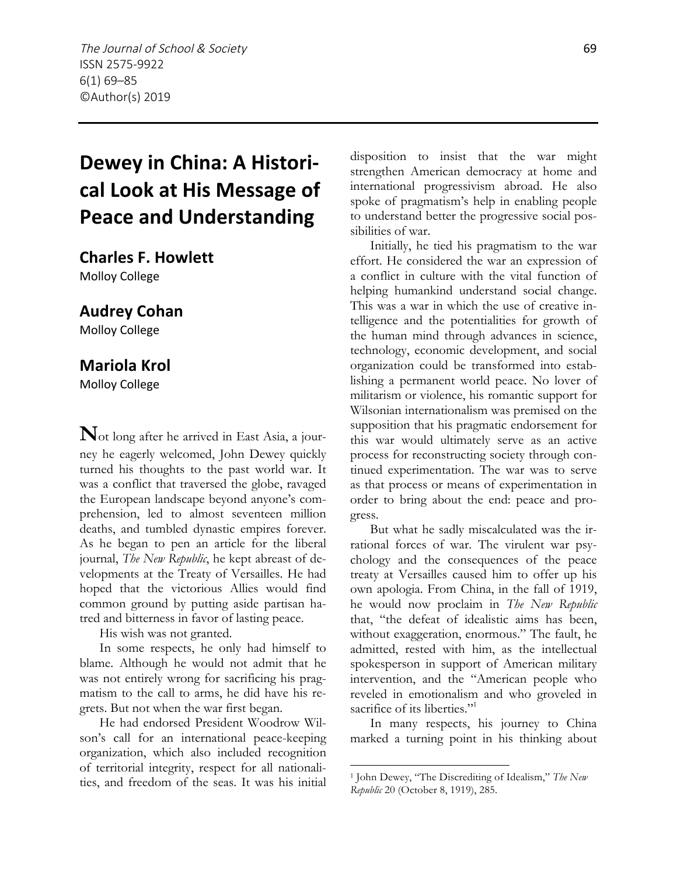# **Dewey in China: A Historical Look at His Message of Peace and Understanding**

**Charles F. Howlett**

Molloy College

#### **Audrey Cohan**

Molloy College

#### **Mariola Krol**

Molloy College

**N**ot long after he arrived in East Asia, a journey he eagerly welcomed, John Dewey quickly turned his thoughts to the past world war. It was a conflict that traversed the globe, ravaged the European landscape beyond anyone's comprehension, led to almost seventeen million deaths, and tumbled dynastic empires forever. As he began to pen an article for the liberal journal, *The New Republic*, he kept abreast of developments at the Treaty of Versailles. He had hoped that the victorious Allies would find common ground by putting aside partisan hatred and bitterness in favor of lasting peace.

His wish was not granted.

In some respects, he only had himself to blame. Although he would not admit that he was not entirely wrong for sacrificing his pragmatism to the call to arms, he did have his regrets. But not when the war first began.

He had endorsed President Woodrow Wilson's call for an international peace-keeping organization, which also included recognition of territorial integrity, respect for all nationalities, and freedom of the seas. It was his initial disposition to insist that the war might strengthen American democracy at home and international progressivism abroad. He also spoke of pragmatism's help in enabling people to understand better the progressive social possibilities of war.

Initially, he tied his pragmatism to the war effort. He considered the war an expression of a conflict in culture with the vital function of helping humankind understand social change. This was a war in which the use of creative intelligence and the potentialities for growth of the human mind through advances in science, technology, economic development, and social organization could be transformed into establishing a permanent world peace. No lover of militarism or violence, his romantic support for Wilsonian internationalism was premised on the supposition that his pragmatic endorsement for this war would ultimately serve as an active process for reconstructing society through continued experimentation. The war was to serve as that process or means of experimentation in order to bring about the end: peace and progress.

But what he sadly miscalculated was the irrational forces of war. The virulent war psychology and the consequences of the peace treaty at Versailles caused him to offer up his own apologia. From China, in the fall of 1919, he would now proclaim in *The New Republic* that, "the defeat of idealistic aims has been, without exaggeration, enormous." The fault, he admitted, rested with him, as the intellectual spokesperson in support of American military intervention, and the "American people who reveled in emotionalism and who groveled in sacrifice of its liberties."<sup>1</sup>

In many respects, his journey to China marked a turning point in his thinking about

<sup>1</sup> John Dewey, "The Discrediting of Idealism," *The New Republic* 20 (October 8, 1919), 285.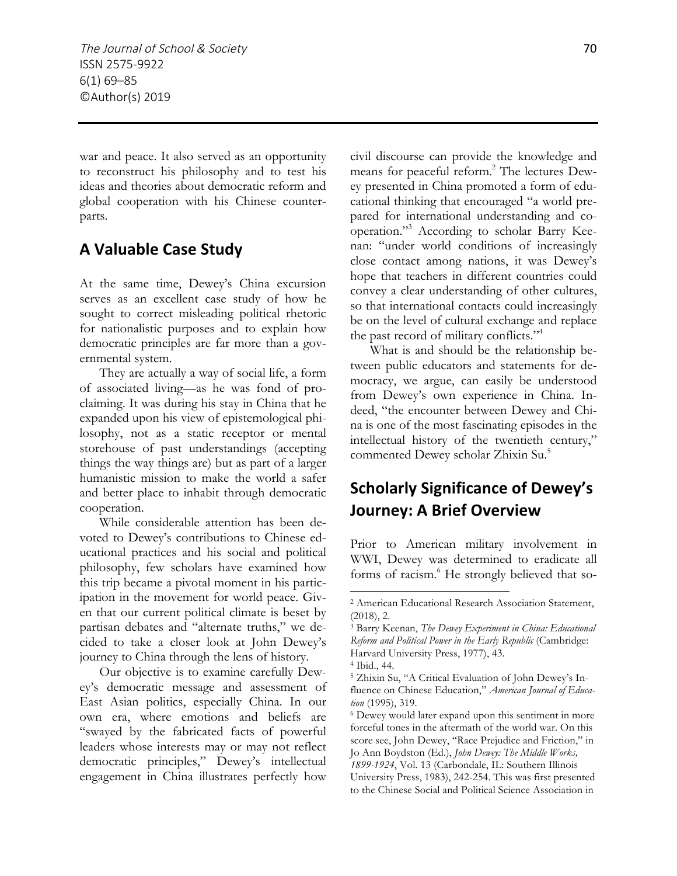war and peace. It also served as an opportunity to reconstruct his philosophy and to test his ideas and theories about democratic reform and global cooperation with his Chinese counterparts.

#### **A Valuable Case Study**

At the same time, Dewey's China excursion serves as an excellent case study of how he sought to correct misleading political rhetoric for nationalistic purposes and to explain how democratic principles are far more than a governmental system.

They are actually a way of social life, a form of associated living—as he was fond of proclaiming. It was during his stay in China that he expanded upon his view of epistemological philosophy, not as a static receptor or mental storehouse of past understandings (accepting things the way things are) but as part of a larger humanistic mission to make the world a safer and better place to inhabit through democratic cooperation.

While considerable attention has been devoted to Dewey's contributions to Chinese educational practices and his social and political philosophy, few scholars have examined how this trip became a pivotal moment in his participation in the movement for world peace. Given that our current political climate is beset by partisan debates and "alternate truths," we decided to take a closer look at John Dewey's journey to China through the lens of history.

Our objective is to examine carefully Dewey's democratic message and assessment of East Asian politics, especially China. In our own era, where emotions and beliefs are "swayed by the fabricated facts of powerful leaders whose interests may or may not reflect democratic principles," Dewey's intellectual engagement in China illustrates perfectly how

civil discourse can provide the knowledge and means for peaceful reform.2 The lectures Dewey presented in China promoted a form of educational thinking that encouraged "a world prepared for international understanding and cooperation."3 According to scholar Barry Keenan: "under world conditions of increasingly close contact among nations, it was Dewey's hope that teachers in different countries could convey a clear understanding of other cultures, so that international contacts could increasingly be on the level of cultural exchange and replace the past record of military conflicts."<sup>4</sup>

What is and should be the relationship between public educators and statements for democracy, we argue, can easily be understood from Dewey's own experience in China. Indeed, "the encounter between Dewey and China is one of the most fascinating episodes in the intellectual history of the twentieth century," commented Dewey scholar Zhixin Su.<sup>5</sup>

### **Scholarly Significance of Dewey's Journey: A Brief Overview**

Prior to American military involvement in WWI, Dewey was determined to eradicate all forms of racism.<sup>6</sup> He strongly believed that so-

<sup>2</sup> American Educational Research Association Statement, (2018), 2.

<sup>3</sup> Barry Keenan, *The Dewey Experiment in China: Educational Reform and Political Power in the Early Republic* (Cambridge: Harvard University Press, 1977), 43.

<sup>4</sup> Ibid., 44.

<sup>5</sup> Zhixin Su, "A Critical Evaluation of John Dewey's Influence on Chinese Education," *American Journal of Education* (1995), 319.

<sup>6</sup> Dewey would later expand upon this sentiment in more forceful tones in the aftermath of the world war. On this score see, John Dewey, "Race Prejudice and Friction," in Jo Ann Boydston (Ed.), *John Dewey: The Middle Works, 1899-1924*, Vol. 13 (Carbondale, IL: Southern Illinois University Press, 1983), 242-254. This was first presented to the Chinese Social and Political Science Association in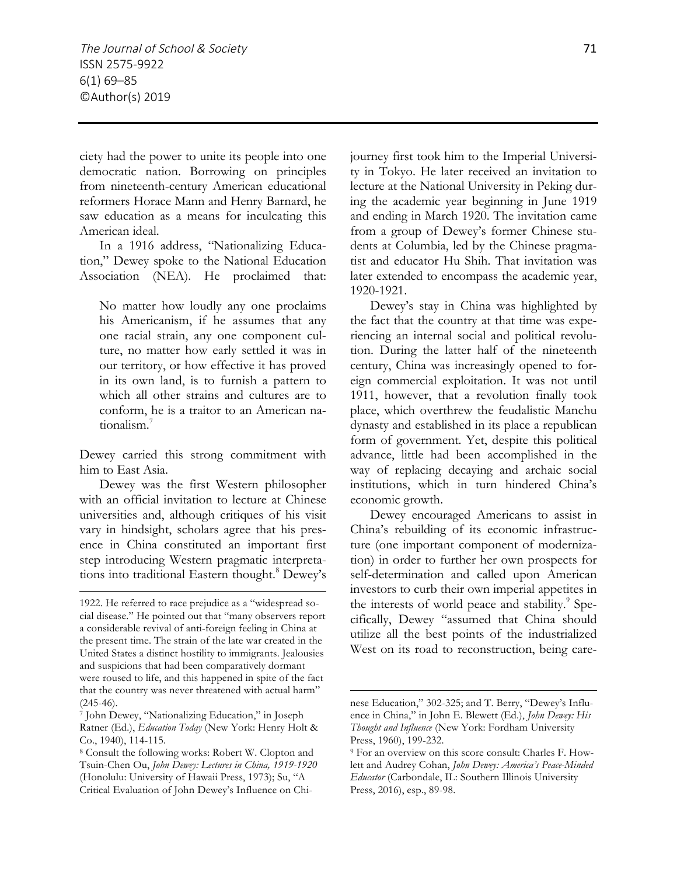ciety had the power to unite its people into one democratic nation. Borrowing on principles from nineteenth-century American educational reformers Horace Mann and Henry Barnard, he saw education as a means for inculcating this American ideal.

In a 1916 address, "Nationalizing Education," Dewey spoke to the National Education Association (NEA). He proclaimed that:

No matter how loudly any one proclaims his Americanism, if he assumes that any one racial strain, any one component culture, no matter how early settled it was in our territory, or how effective it has proved in its own land, is to furnish a pattern to which all other strains and cultures are to conform, he is a traitor to an American nationalism.7

Dewey carried this strong commitment with him to East Asia.

Dewey was the first Western philosopher with an official invitation to lecture at Chinese universities and, although critiques of his visit vary in hindsight, scholars agree that his presence in China constituted an important first step introducing Western pragmatic interpretations into traditional Eastern thought.<sup>8</sup> Dewey's

 $\overline{a}$ 

journey first took him to the Imperial University in Tokyo. He later received an invitation to lecture at the National University in Peking during the academic year beginning in June 1919 and ending in March 1920. The invitation came from a group of Dewey's former Chinese students at Columbia, led by the Chinese pragmatist and educator Hu Shih. That invitation was later extended to encompass the academic year, 1920-1921.

Dewey's stay in China was highlighted by the fact that the country at that time was experiencing an internal social and political revolution. During the latter half of the nineteenth century, China was increasingly opened to foreign commercial exploitation. It was not until 1911, however, that a revolution finally took place, which overthrew the feudalistic Manchu dynasty and established in its place a republican form of government. Yet, despite this political advance, little had been accomplished in the way of replacing decaying and archaic social institutions, which in turn hindered China's economic growth.

Dewey encouraged Americans to assist in China's rebuilding of its economic infrastructure (one important component of modernization) in order to further her own prospects for self-determination and called upon American investors to curb their own imperial appetites in the interests of world peace and stability.<sup>9</sup> Specifically, Dewey "assumed that China should utilize all the best points of the industrialized West on its road to reconstruction, being care-

<sup>1922.</sup> He referred to race prejudice as a "widespread social disease." He pointed out that "many observers report a considerable revival of anti-foreign feeling in China at the present time. The strain of the late war created in the United States a distinct hostility to immigrants. Jealousies and suspicions that had been comparatively dormant were roused to life, and this happened in spite of the fact that the country was never threatened with actual harm"

<sup>(245-46). 7</sup> John Dewey, "Nationalizing Education," in Joseph Ratner (Ed.), *Education Today* (New York: Henry Holt & Co., 1940), 114-115.

<sup>8</sup> Consult the following works: Robert W. Clopton and Tsuin-Chen Ou, *John Dewey: Lectures in China, 1919-1920* (Honolulu: University of Hawaii Press, 1973); Su, "A Critical Evaluation of John Dewey's Influence on Chi-

nese Education," 302-325; and T. Berry, "Dewey's Influence in China," in John E. Blewett (Ed.), *John Dewey: His Thought and Influence* (New York: Fordham University Press, 1960), 199-232.<br><sup>9</sup> For an overview on this score consult: Charles F. How-

lett and Audrey Cohan, *John Dewey: America's Peace-Minded Educator* (Carbondale, IL: Southern Illinois University Press, 2016), esp., 89-98.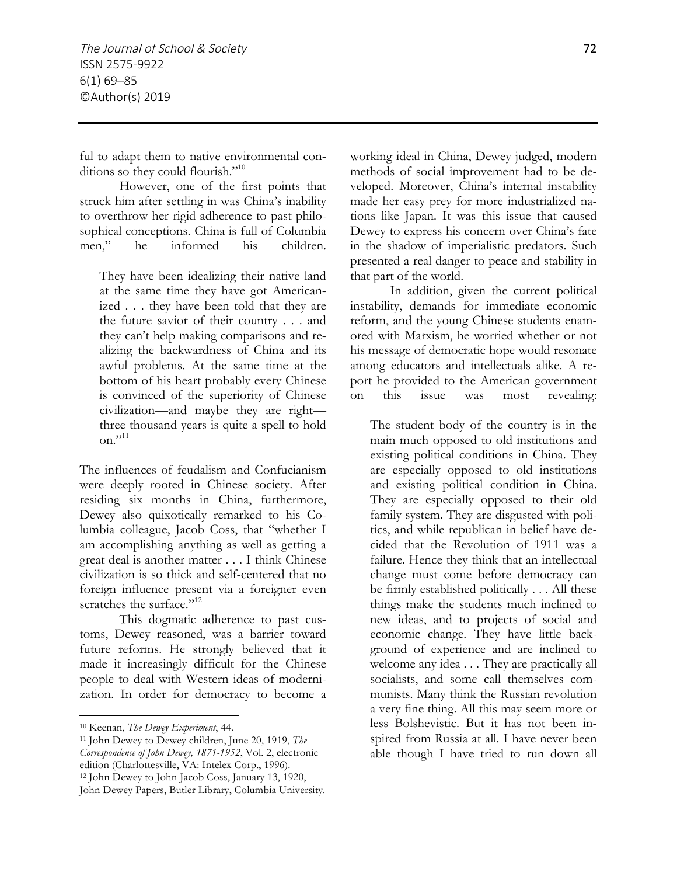ful to adapt them to native environmental conditions so they could flourish."<sup>10</sup>

However, one of the first points that struck him after settling in was China's inability to overthrow her rigid adherence to past philosophical conceptions. China is full of Columbia men," he informed his children.

They have been idealizing their native land at the same time they have got Americanized . . . they have been told that they are the future savior of their country . . . and they can't help making comparisons and realizing the backwardness of China and its awful problems. At the same time at the bottom of his heart probably every Chinese is convinced of the superiority of Chinese civilization—and maybe they are right three thousand years is quite a spell to hold on." $^{11}$ 

The influences of feudalism and Confucianism were deeply rooted in Chinese society. After residing six months in China, furthermore, Dewey also quixotically remarked to his Columbia colleague, Jacob Coss, that "whether I am accomplishing anything as well as getting a great deal is another matter . . . I think Chinese civilization is so thick and self-centered that no foreign influence present via a foreigner even scratches the surface."<sup>12</sup>

This dogmatic adherence to past customs, Dewey reasoned, was a barrier toward future reforms. He strongly believed that it made it increasingly difficult for the Chinese people to deal with Western ideas of modernization. In order for democracy to become a

 $\overline{a}$ 

working ideal in China, Dewey judged, modern methods of social improvement had to be developed. Moreover, China's internal instability made her easy prey for more industrialized nations like Japan. It was this issue that caused Dewey to express his concern over China's fate in the shadow of imperialistic predators. Such presented a real danger to peace and stability in that part of the world.

In addition, given the current political instability, demands for immediate economic reform, and the young Chinese students enamored with Marxism, he worried whether or not his message of democratic hope would resonate among educators and intellectuals alike. A report he provided to the American government on this issue was most revealing:

The student body of the country is in the main much opposed to old institutions and existing political conditions in China. They are especially opposed to old institutions and existing political condition in China. They are especially opposed to their old family system. They are disgusted with politics, and while republican in belief have decided that the Revolution of 1911 was a failure. Hence they think that an intellectual change must come before democracy can be firmly established politically . . . All these things make the students much inclined to new ideas, and to projects of social and economic change. They have little background of experience and are inclined to welcome any idea . . . They are practically all socialists, and some call themselves communists. Many think the Russian revolution a very fine thing. All this may seem more or less Bolshevistic. But it has not been inspired from Russia at all. I have never been able though I have tried to run down all

<sup>10</sup> Keenan, *The Dewey Experiment*, 44.

<sup>11</sup> John Dewey to Dewey children, June 20, 1919, *The Correspondence of John Dewey, 1871-1952*, Vol. 2, electronic edition (Charlottesville, VA: Intelex Corp., 1996). <sup>12</sup> John Dewey to John Jacob Coss, January 13, 1920, John Dewey Papers, Butler Library, Columbia University.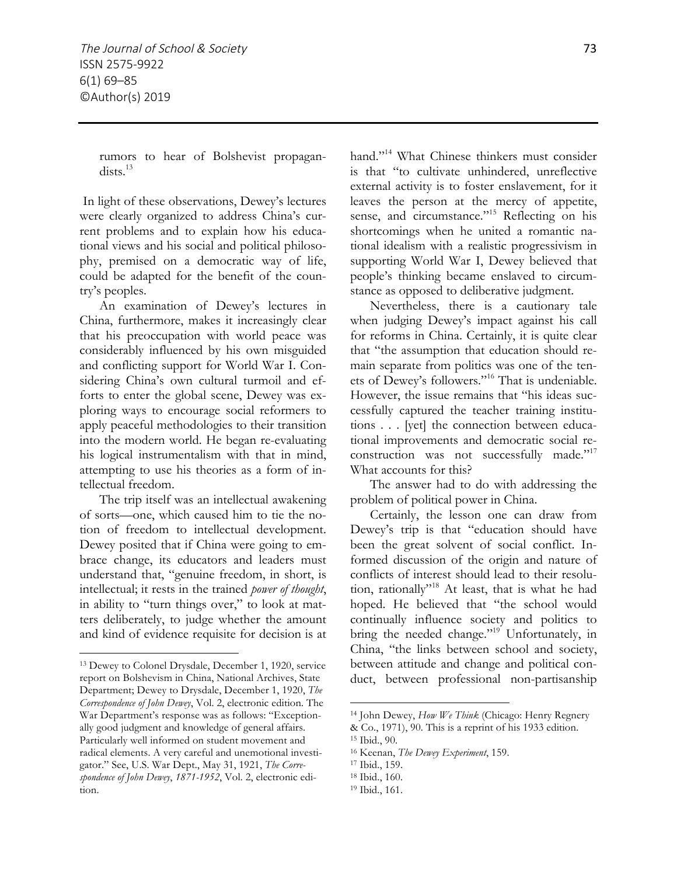rumors to hear of Bolshevist propagan $dists.<sup>13</sup>$ 

In light of these observations, Dewey's lectures were clearly organized to address China's current problems and to explain how his educational views and his social and political philosophy, premised on a democratic way of life, could be adapted for the benefit of the country's peoples.

An examination of Dewey's lectures in China, furthermore, makes it increasingly clear that his preoccupation with world peace was considerably influenced by his own misguided and conflicting support for World War I. Considering China's own cultural turmoil and efforts to enter the global scene, Dewey was exploring ways to encourage social reformers to apply peaceful methodologies to their transition into the modern world. He began re-evaluating his logical instrumentalism with that in mind, attempting to use his theories as a form of intellectual freedom.

The trip itself was an intellectual awakening of sorts—one, which caused him to tie the notion of freedom to intellectual development. Dewey posited that if China were going to embrace change, its educators and leaders must understand that, "genuine freedom, in short, is intellectual; it rests in the trained *power of thought*, in ability to "turn things over," to look at matters deliberately, to judge whether the amount and kind of evidence requisite for decision is at

 $\overline{a}$ 

hand."<sup>14</sup> What Chinese thinkers must consider is that "to cultivate unhindered, unreflective external activity is to foster enslavement, for it leaves the person at the mercy of appetite, sense, and circumstance."<sup>15</sup> Reflecting on his shortcomings when he united a romantic national idealism with a realistic progressivism in supporting World War I, Dewey believed that people's thinking became enslaved to circumstance as opposed to deliberative judgment.

Nevertheless, there is a cautionary tale when judging Dewey's impact against his call for reforms in China. Certainly, it is quite clear that "the assumption that education should remain separate from politics was one of the tenets of Dewey's followers."16 That is undeniable. However, the issue remains that "his ideas successfully captured the teacher training institutions . . . [yet] the connection between educational improvements and democratic social reconstruction was not successfully made."<sup>17</sup> What accounts for this?

The answer had to do with addressing the problem of political power in China.

Certainly, the lesson one can draw from Dewey's trip is that "education should have been the great solvent of social conflict. Informed discussion of the origin and nature of conflicts of interest should lead to their resolution, rationally"18 At least, that is what he had hoped. He believed that "the school would continually influence society and politics to bring the needed change."<sup>19</sup> Unfortunately, in China, "the links between school and society, between attitude and change and political conduct, between professional non-partisanship

<sup>13</sup> Dewey to Colonel Drysdale, December 1, 1920, service report on Bolshevism in China, National Archives, State Department; Dewey to Drysdale, December 1, 1920, *The Correspondence of John Dewey*, Vol. 2, electronic edition. The War Department's response was as follows: "Exceptionally good judgment and knowledge of general affairs. Particularly well informed on student movement and radical elements. A very careful and unemotional investigator." See, U.S. War Dept., May 31, 1921, *The Correspondence of John Dewey*, *1871-1952*, Vol. 2, electronic edition.

<sup>14</sup> John Dewey, *How We Think* (Chicago: Henry Regnery

<sup>&</sup>amp; Co., 1971), 90. This is a reprint of his 1933 edition.

<sup>15</sup> Ibid., 90.

<sup>16</sup> Keenan, *The Dewey Experiment*, 159.

<sup>17</sup> Ibid., 159.

<sup>18</sup> Ibid., 160.

<sup>19</sup> Ibid., 161.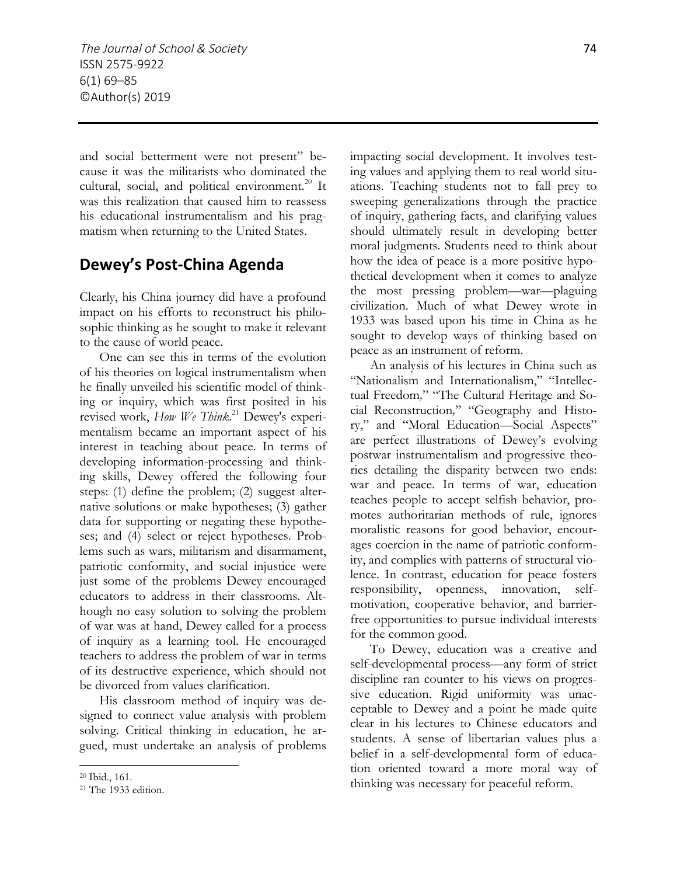and social betterment were not present" because it was the militarists who dominated the cultural, social, and political environment.<sup>20</sup> It was this realization that caused him to reassess his educational instrumentalism and his pragmatism when returning to the United States.

#### **Dewey's Post-China Agenda**

Clearly, his China journey did have a profound impact on his efforts to reconstruct his philosophic thinking as he sought to make it relevant to the cause of world peace.

One can see this in terms of the evolution of his theories on logical instrumentalism when he finally unveiled his scientific model of thinking or inquiry, which was first posited in his revised work, *How We Think*. <sup>21</sup> Dewey's experimentalism became an important aspect of his interest in teaching about peace. In terms of developing information-processing and thinking skills, Dewey offered the following four steps: (1) define the problem; (2) suggest alternative solutions or make hypotheses; (3) gather data for supporting or negating these hypotheses; and (4) select or reject hypotheses. Problems such as wars, militarism and disarmament, patriotic conformity, and social injustice were just some of the problems Dewey encouraged educators to address in their classrooms. Although no easy solution to solving the problem of war was at hand, Dewey called for a process of inquiry as a learning tool. He encouraged teachers to address the problem of war in terms of its destructive experience, which should not be divorced from values clarification.

His classroom method of inquiry was designed to connect value analysis with problem solving. Critical thinking in education, he argued, must undertake an analysis of problems

 $\overline{a}$ 

impacting social development. It involves testing values and applying them to real world situations. Teaching students not to fall prey to sweeping generalizations through the practice of inquiry, gathering facts, and clarifying values should ultimately result in developing better moral judgments. Students need to think about how the idea of peace is a more positive hypothetical development when it comes to analyze the most pressing problem—war—plaguing civilization. Much of what Dewey wrote in 1933 was based upon his time in China as he sought to develop ways of thinking based on peace as an instrument of reform.

An analysis of his lectures in China such as "Nationalism and Internationalism," "Intellectual Freedom*,*" "The Cultural Heritage and Social Reconstruction*,*" "Geography and History," and "Moral Education—Social Aspects" are perfect illustrations of Dewey's evolving postwar instrumentalism and progressive theories detailing the disparity between two ends: war and peace. In terms of war, education teaches people to accept selfish behavior, promotes authoritarian methods of rule, ignores moralistic reasons for good behavior, encourages coercion in the name of patriotic conformity, and complies with patterns of structural violence. In contrast, education for peace fosters responsibility, openness, innovation, selfmotivation, cooperative behavior, and barrierfree opportunities to pursue individual interests for the common good.

To Dewey, education was a creative and self-developmental process—any form of strict discipline ran counter to his views on progressive education. Rigid uniformity was unacceptable to Dewey and a point he made quite clear in his lectures to Chinese educators and students. A sense of libertarian values plus a belief in a self-developmental form of education oriented toward a more moral way of thinking was necessary for peaceful reform.

<sup>20</sup> Ibid., 161.

<sup>21</sup> The 1933 edition.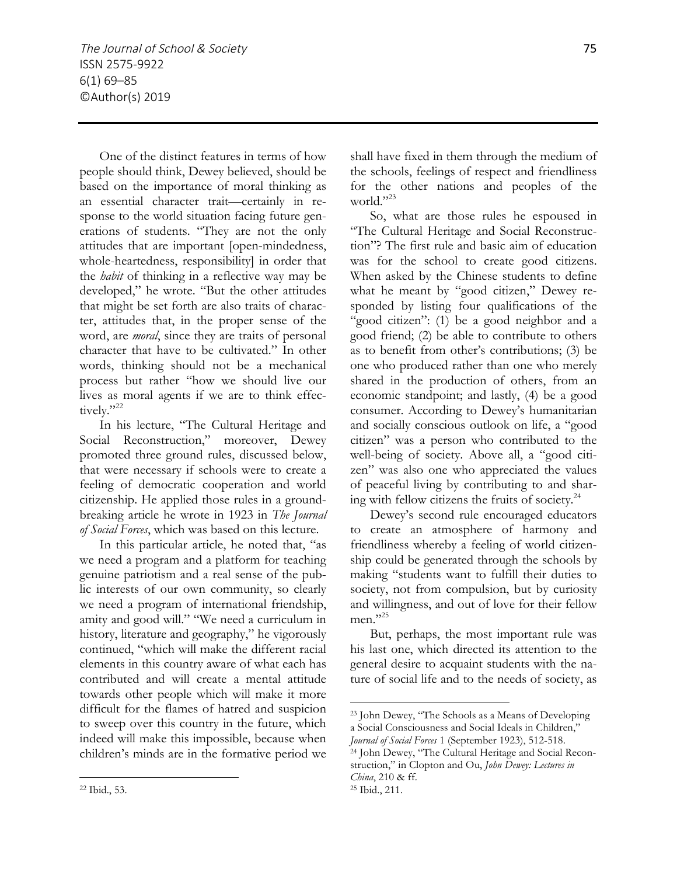One of the distinct features in terms of how people should think, Dewey believed, should be based on the importance of moral thinking as an essential character trait—certainly in response to the world situation facing future generations of students. "They are not the only attitudes that are important [open-mindedness, whole-heartedness, responsibility] in order that the *habit* of thinking in a reflective way may be developed," he wrote. "But the other attitudes that might be set forth are also traits of character, attitudes that, in the proper sense of the word, are *moral*, since they are traits of personal character that have to be cultivated." In other words, thinking should not be a mechanical process but rather "how we should live our lives as moral agents if we are to think effectively."22

In his lecture, "The Cultural Heritage and Social Reconstruction," moreover, Dewey promoted three ground rules, discussed below, that were necessary if schools were to create a feeling of democratic cooperation and world citizenship. He applied those rules in a groundbreaking article he wrote in 1923 in *The Journal of Social Forces*, which was based on this lecture.

In this particular article, he noted that, "as we need a program and a platform for teaching genuine patriotism and a real sense of the public interests of our own community, so clearly we need a program of international friendship, amity and good will." "We need a curriculum in history, literature and geography," he vigorously continued, "which will make the different racial elements in this country aware of what each has contributed and will create a mental attitude towards other people which will make it more difficult for the flames of hatred and suspicion to sweep over this country in the future, which indeed will make this impossible, because when children's minds are in the formative period we

<sup>22</sup> Ibid., 53.

 $\overline{a}$ 

shall have fixed in them through the medium of the schools, feelings of respect and friendliness for the other nations and peoples of the world."23

So, what are those rules he espoused in "The Cultural Heritage and Social Reconstruction"? The first rule and basic aim of education was for the school to create good citizens. When asked by the Chinese students to define what he meant by "good citizen," Dewey responded by listing four qualifications of the "good citizen": (1) be a good neighbor and a good friend; (2) be able to contribute to others as to benefit from other's contributions; (3) be one who produced rather than one who merely shared in the production of others, from an economic standpoint; and lastly, (4) be a good consumer. According to Dewey's humanitarian and socially conscious outlook on life, a "good citizen" was a person who contributed to the well-being of society. Above all, a "good citizen" was also one who appreciated the values of peaceful living by contributing to and sharing with fellow citizens the fruits of society. $24$ 

Dewey's second rule encouraged educators to create an atmosphere of harmony and friendliness whereby a feeling of world citizenship could be generated through the schools by making "students want to fulfill their duties to society, not from compulsion, but by curiosity and willingness, and out of love for their fellow men."25

But, perhaps, the most important rule was his last one, which directed its attention to the general desire to acquaint students with the nature of social life and to the needs of society, as

<sup>23</sup> John Dewey, "The Schools as a Means of Developing a Social Consciousness and Social Ideals in Children,"

*Journal of Social Forces* 1 (September 1923), 512-518. 24 John Dewey, "The Cultural Heritage and Social Reconstruction," in Clopton and Ou, *John Dewey: Lectures in China*, 210 & ff.

<sup>25</sup> Ibid., 211.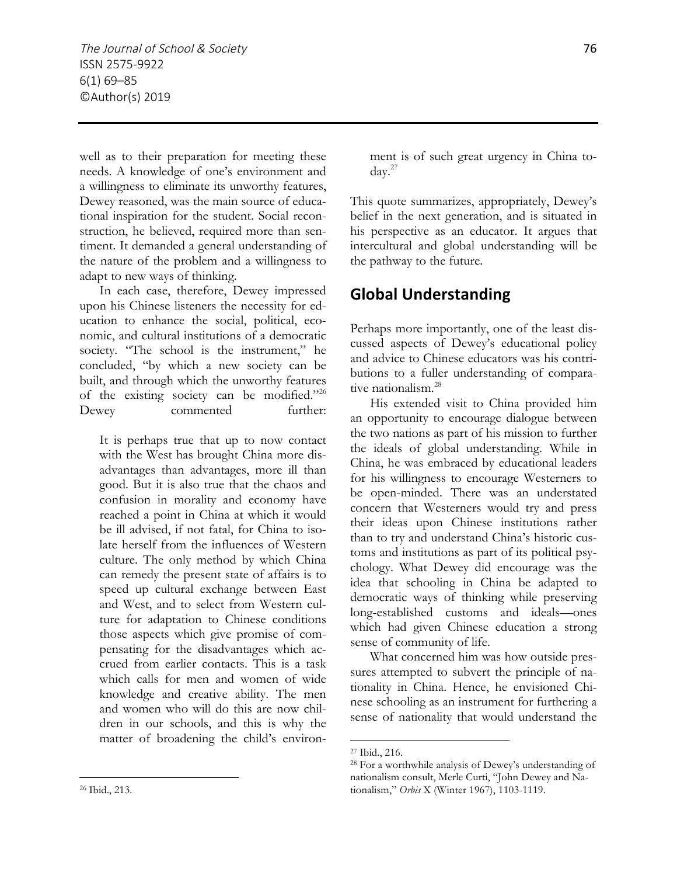well as to their preparation for meeting these needs. A knowledge of one's environment and a willingness to eliminate its unworthy features, Dewey reasoned, was the main source of educational inspiration for the student. Social reconstruction, he believed, required more than sentiment. It demanded a general understanding of the nature of the problem and a willingness to adapt to new ways of thinking.

In each case, therefore, Dewey impressed upon his Chinese listeners the necessity for education to enhance the social, political, economic, and cultural institutions of a democratic society. "The school is the instrument," he concluded, "by which a new society can be built, and through which the unworthy features of the existing society can be modified."26 Dewey commented further:

It is perhaps true that up to now contact with the West has brought China more disadvantages than advantages, more ill than good. But it is also true that the chaos and confusion in morality and economy have reached a point in China at which it would be ill advised, if not fatal, for China to isolate herself from the influences of Western culture. The only method by which China can remedy the present state of affairs is to speed up cultural exchange between East and West, and to select from Western culture for adaptation to Chinese conditions those aspects which give promise of compensating for the disadvantages which accrued from earlier contacts. This is a task which calls for men and women of wide knowledge and creative ability. The men and women who will do this are now children in our schools, and this is why the matter of broadening the child's environment is of such great urgency in China today.27

This quote summarizes, appropriately, Dewey's belief in the next generation, and is situated in his perspective as an educator. It argues that intercultural and global understanding will be the pathway to the future.

#### **Global Understanding**

Perhaps more importantly, one of the least discussed aspects of Dewey's educational policy and advice to Chinese educators was his contributions to a fuller understanding of comparative nationalism.<sup>28</sup>

His extended visit to China provided him an opportunity to encourage dialogue between the two nations as part of his mission to further the ideals of global understanding. While in China, he was embraced by educational leaders for his willingness to encourage Westerners to be open-minded. There was an understated concern that Westerners would try and press their ideas upon Chinese institutions rather than to try and understand China's historic customs and institutions as part of its political psychology. What Dewey did encourage was the idea that schooling in China be adapted to democratic ways of thinking while preserving long-established customs and ideals—ones which had given Chinese education a strong sense of community of life.

What concerned him was how outside pressures attempted to subvert the principle of nationality in China. Hence, he envisioned Chinese schooling as an instrument for furthering a sense of nationality that would understand the

 $\overline{a}$ 

<sup>27</sup> Ibid., 216.

<sup>28</sup> For a worthwhile analysis of Dewey's understanding of nationalism consult, Merle Curti, "John Dewey and Nationalism," *Orbis* X (Winter 1967), 1103-1119.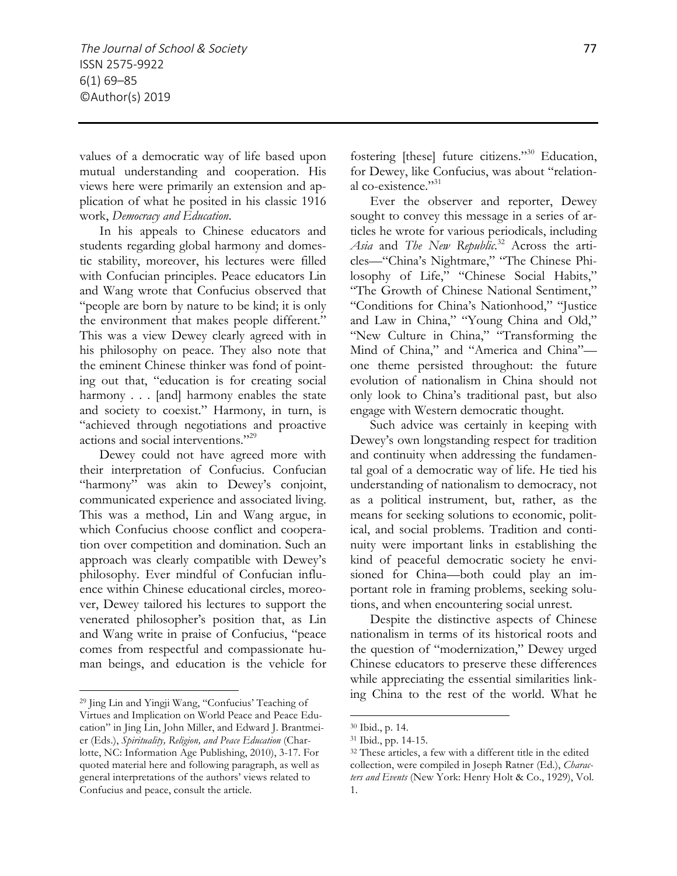values of a democratic way of life based upon mutual understanding and cooperation. His views here were primarily an extension and application of what he posited in his classic 1916 work, *Democracy and Education*.

In his appeals to Chinese educators and students regarding global harmony and domestic stability, moreover, his lectures were filled with Confucian principles. Peace educators Lin and Wang wrote that Confucius observed that "people are born by nature to be kind; it is only the environment that makes people different." This was a view Dewey clearly agreed with in his philosophy on peace. They also note that the eminent Chinese thinker was fond of pointing out that, "education is for creating social harmony . . . [and] harmony enables the state and society to coexist." Harmony, in turn, is "achieved through negotiations and proactive actions and social interventions."29

Dewey could not have agreed more with their interpretation of Confucius. Confucian "harmony" was akin to Dewey's conjoint, communicated experience and associated living. This was a method, Lin and Wang argue, in which Confucius choose conflict and cooperation over competition and domination. Such an approach was clearly compatible with Dewey's philosophy. Ever mindful of Confucian influence within Chinese educational circles, moreover, Dewey tailored his lectures to support the venerated philosopher's position that, as Lin and Wang write in praise of Confucius, "peace comes from respectful and compassionate human beings, and education is the vehicle for

 $\overline{a}$ 

fostering [these] future citizens."30 Education, for Dewey, like Confucius, was about "relational co-existence."31

Ever the observer and reporter, Dewey sought to convey this message in a series of articles he wrote for various periodicals, including *Asia* and *The New Republic*. <sup>32</sup> Across the articles—"China's Nightmare," "The Chinese Philosophy of Life," "Chinese Social Habits," "The Growth of Chinese National Sentiment," "Conditions for China's Nationhood," "Justice and Law in China," "Young China and Old," "New Culture in China," "Transforming the Mind of China," and "America and China" one theme persisted throughout: the future evolution of nationalism in China should not only look to China's traditional past, but also engage with Western democratic thought.

Such advice was certainly in keeping with Dewey's own longstanding respect for tradition and continuity when addressing the fundamental goal of a democratic way of life. He tied his understanding of nationalism to democracy, not as a political instrument, but, rather, as the means for seeking solutions to economic, political, and social problems. Tradition and continuity were important links in establishing the kind of peaceful democratic society he envisioned for China—both could play an important role in framing problems, seeking solutions, and when encountering social unrest.

Despite the distinctive aspects of Chinese nationalism in terms of its historical roots and the question of "modernization," Dewey urged Chinese educators to preserve these differences while appreciating the essential similarities linking China to the rest of the world. What he

<sup>29</sup> Jing Lin and Yingji Wang, "Confucius' Teaching of Virtues and Implication on World Peace and Peace Education" in Jing Lin, John Miller, and Edward J. Brantmeier (Eds.), *Spirituality, Religion, and Peace Education* (Charlotte, NC: Information Age Publishing, 2010), 3-17. For quoted material here and following paragraph, as well as general interpretations of the authors' views related to Confucius and peace, consult the article.

<sup>30</sup> Ibid., p. 14.

<sup>31</sup> Ibid., pp. 14-15.

<sup>32</sup> These articles, a few with a different title in the edited collection, were compiled in Joseph Ratner (Ed.), *Characters and Events* (New York: Henry Holt & Co., 1929), Vol. 1.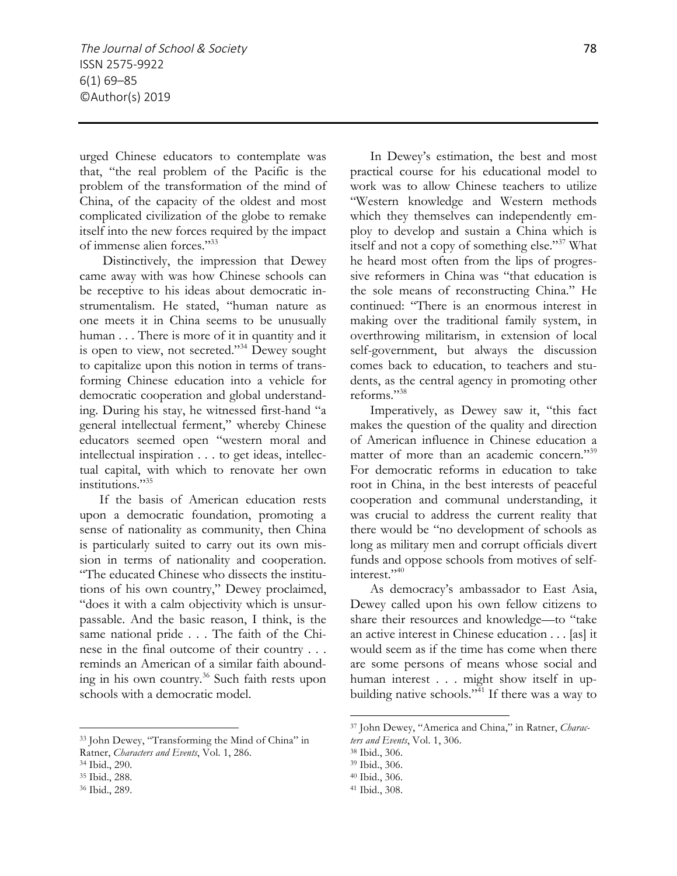urged Chinese educators to contemplate was that, "the real problem of the Pacific is the problem of the transformation of the mind of China, of the capacity of the oldest and most complicated civilization of the globe to remake itself into the new forces required by the impact of immense alien forces."33

Distinctively, the impression that Dewey came away with was how Chinese schools can be receptive to his ideas about democratic instrumentalism. He stated, "human nature as one meets it in China seems to be unusually human . . . There is more of it in quantity and it is open to view, not secreted."34 Dewey sought to capitalize upon this notion in terms of transforming Chinese education into a vehicle for democratic cooperation and global understanding. During his stay, he witnessed first-hand "a general intellectual ferment," whereby Chinese educators seemed open "western moral and intellectual inspiration . . . to get ideas, intellectual capital, with which to renovate her own institutions."<sup>35</sup>

If the basis of American education rests upon a democratic foundation, promoting a sense of nationality as community, then China is particularly suited to carry out its own mission in terms of nationality and cooperation. "The educated Chinese who dissects the institutions of his own country," Dewey proclaimed, "does it with a calm objectivity which is unsurpassable. And the basic reason, I think, is the same national pride . . . The faith of the Chinese in the final outcome of their country . . . reminds an American of a similar faith abounding in his own country.<sup>36</sup> Such faith rests upon schools with a democratic model.

<sup>33</sup> John Dewey, "Transforming the Mind of China" in Ratner, *Characters and Events*, Vol. 1, 286.

 $\overline{a}$ 

In Dewey's estimation, the best and most practical course for his educational model to work was to allow Chinese teachers to utilize "Western knowledge and Western methods which they themselves can independently employ to develop and sustain a China which is itself and not a copy of something else."37 What he heard most often from the lips of progressive reformers in China was "that education is the sole means of reconstructing China." He continued: "There is an enormous interest in making over the traditional family system, in overthrowing militarism, in extension of local self-government, but always the discussion comes back to education, to teachers and students, as the central agency in promoting other reforms."38

Imperatively, as Dewey saw it, "this fact makes the question of the quality and direction of American influence in Chinese education a matter of more than an academic concern."<sup>39</sup> For democratic reforms in education to take root in China, in the best interests of peaceful cooperation and communal understanding, it was crucial to address the current reality that there would be "no development of schools as long as military men and corrupt officials divert funds and oppose schools from motives of selfinterest $"$ <sup>40</sup>

As democracy's ambassador to East Asia, Dewey called upon his own fellow citizens to share their resources and knowledge—to "take an active interest in Chinese education . . . [as] it would seem as if the time has come when there are some persons of means whose social and human interest . . . might show itself in upbuilding native schools." $\frac{1}{11}$  If there was a way to

<sup>34</sup> Ibid., 290.

<sup>35</sup> Ibid., 288.

<sup>36</sup> Ibid., 289.

<sup>37</sup> John Dewey, "America and China," in Ratner, *Characters and Events*, Vol. 1, 306.

<sup>38</sup> Ibid., 306.

<sup>39</sup> Ibid., 306.

<sup>40</sup> Ibid., 306.

<sup>41</sup> Ibid., 308.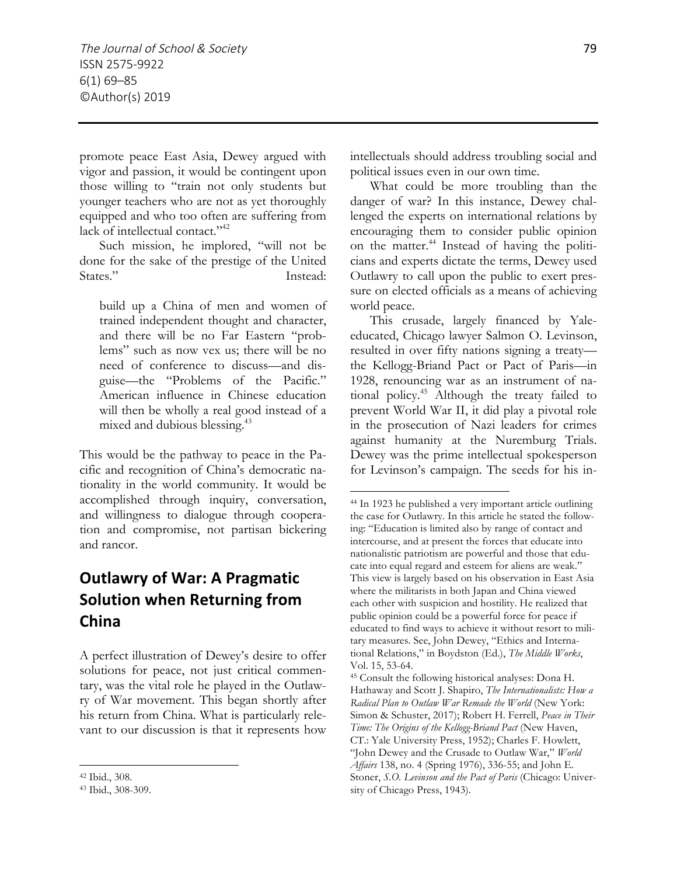promote peace East Asia, Dewey argued with vigor and passion, it would be contingent upon those willing to "train not only students but younger teachers who are not as yet thoroughly equipped and who too often are suffering from lack of intellectual contact."<sup>42</sup>

Such mission, he implored, "will not be done for the sake of the prestige of the United States." Instead:

build up a China of men and women of trained independent thought and character, and there will be no Far Eastern "problems" such as now vex us; there will be no need of conference to discuss—and disguise—the "Problems of the Pacific." American influence in Chinese education will then be wholly a real good instead of a mixed and dubious blessing.<sup>43</sup>

This would be the pathway to peace in the Pacific and recognition of China's democratic nationality in the world community. It would be accomplished through inquiry, conversation, and willingness to dialogue through cooperation and compromise, not partisan bickering and rancor.

## **Outlawry of War: A Pragmatic Solution when Returning from China**

A perfect illustration of Dewey's desire to offer solutions for peace, not just critical commentary, was the vital role he played in the Outlawry of War movement. This began shortly after his return from China. What is particularly relevant to our discussion is that it represents how

 $\overline{a}$ 

intellectuals should address troubling social and political issues even in our own time.

What could be more troubling than the danger of war? In this instance, Dewey challenged the experts on international relations by encouraging them to consider public opinion on the matter.44 Instead of having the politicians and experts dictate the terms, Dewey used Outlawry to call upon the public to exert pressure on elected officials as a means of achieving world peace.

This crusade, largely financed by Yaleeducated, Chicago lawyer Salmon O. Levinson, resulted in over fifty nations signing a treaty the Kellogg-Briand Pact or Pact of Paris—in 1928, renouncing war as an instrument of national policy.45 Although the treaty failed to prevent World War II, it did play a pivotal role in the prosecution of Nazi leaders for crimes against humanity at the Nuremburg Trials. Dewey was the prime intellectual spokesperson for Levinson's campaign. The seeds for his in-

<sup>42</sup> Ibid., 308.

<sup>43</sup> Ibid., 308-309.

<sup>44</sup> In 1923 he published a very important article outlining the case for Outlawry. In this article he stated the following: "Education is limited also by range of contact and intercourse, and at present the forces that educate into nationalistic patriotism are powerful and those that educate into equal regard and esteem for aliens are weak." This view is largely based on his observation in East Asia where the militarists in both Japan and China viewed each other with suspicion and hostility. He realized that public opinion could be a powerful force for peace if educated to find ways to achieve it without resort to military measures. See, John Dewey, "Ethics and International Relations," in Boydston (Ed.), *The Middle Works*, Vol. 15, 53-64. 45 Consult the following historical analyses: Dona H.

Hathaway and Scott J. Shapiro, *The Internationalists: How a Radical Plan to Outlaw War Remade the World* (New York: Simon & Schuster, 2017); Robert H. Ferrell, *Peace in Their Time: The Origins of the Kellogg-Briand Pact* (New Haven, CT.: Yale University Press, 1952); Charles F. Howlett, "John Dewey and the Crusade to Outlaw War," *World Affairs* 138, no. 4 (Spring 1976), 336-55; and John E. Stoner, *S.O. Levinson and the Pact of Paris* (Chicago: University of Chicago Press, 1943).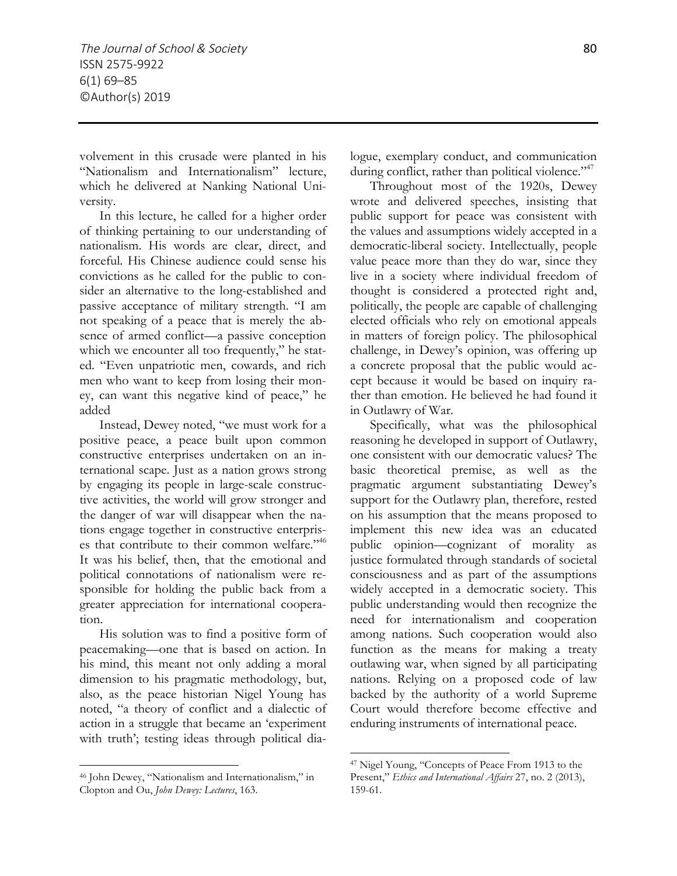volvement in this crusade were planted in his "Nationalism and Internationalism" lecture, which he delivered at Nanking National University.

In this lecture, he called for a higher order of thinking pertaining to our understanding of nationalism. His words are clear, direct, and forceful. His Chinese audience could sense his convictions as he called for the public to consider an alternative to the long-established and passive acceptance of military strength. "I am not speaking of a peace that is merely the absence of armed conflict—a passive conception which we encounter all too frequently," he stated. "Even unpatriotic men, cowards, and rich men who want to keep from losing their money, can want this negative kind of peace," he added

Instead, Dewey noted, "we must work for a positive peace, a peace built upon common constructive enterprises undertaken on an international scape. Just as a nation grows strong by engaging its people in large-scale constructive activities, the world will grow stronger and the danger of war will disappear when the nations engage together in constructive enterprises that contribute to their common welfare."46 It was his belief, then, that the emotional and political connotations of nationalism were responsible for holding the public back from a greater appreciation for international cooperation.

His solution was to find a positive form of peacemaking—one that is based on action. In his mind, this meant not only adding a moral dimension to his pragmatic methodology, but, also, as the peace historian Nigel Young has noted, "a theory of conflict and a dialectic of action in a struggle that became an 'experiment with truth'; testing ideas through political dia-

 $\overline{a}$ 

logue, exemplary conduct, and communication during conflict, rather than political violence."<sup>47</sup>

Throughout most of the 1920s, Dewey wrote and delivered speeches, insisting that public support for peace was consistent with the values and assumptions widely accepted in a democratic-liberal society. Intellectually, people value peace more than they do war, since they live in a society where individual freedom of thought is considered a protected right and, politically, the people are capable of challenging elected officials who rely on emotional appeals in matters of foreign policy. The philosophical challenge, in Dewey's opinion, was offering up a concrete proposal that the public would accept because it would be based on inquiry rather than emotion. He believed he had found it in Outlawry of War.

Specifically, what was the philosophical reasoning he developed in support of Outlawry, one consistent with our democratic values? The basic theoretical premise, as well as the pragmatic argument substantiating Dewey's support for the Outlawry plan, therefore, rested on his assumption that the means proposed to implement this new idea was an educated public opinion—cognizant of morality as justice formulated through standards of societal consciousness and as part of the assumptions widely accepted in a democratic society. This public understanding would then recognize the need for internationalism and cooperation among nations. Such cooperation would also function as the means for making a treaty outlawing war, when signed by all participating nations. Relying on a proposed code of law backed by the authority of a world Supreme Court would therefore become effective and enduring instruments of international peace.

<sup>46</sup> John Dewey, "Nationalism and Internationalism," in Clopton and Ou, *John Dewey: Lectures*, 163.

<sup>47</sup> Nigel Young, "Concepts of Peace From 1913 to the Present," *Ethics and International Affairs* 27, no. 2 (2013), 159-61.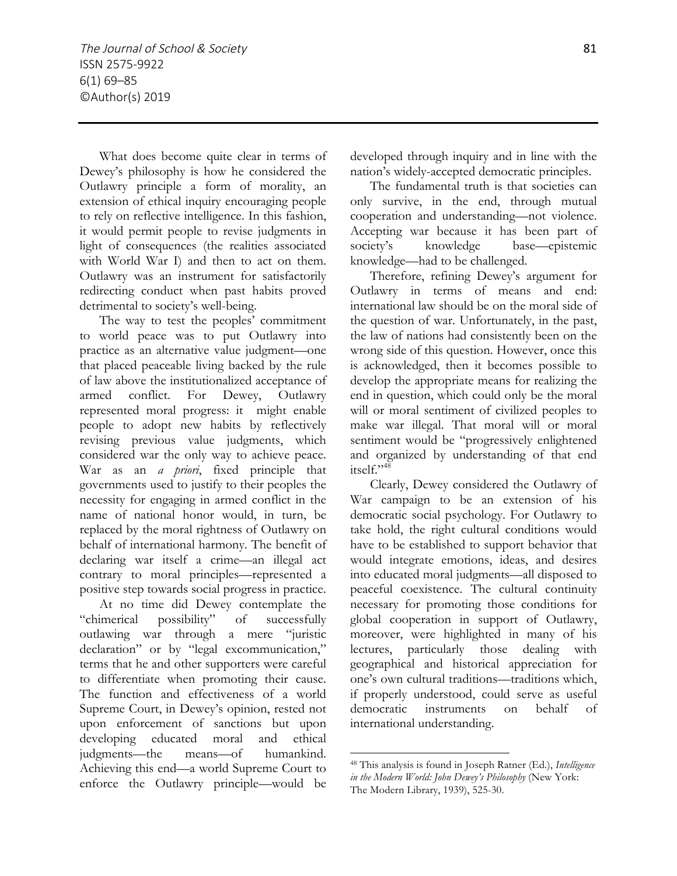What does become quite clear in terms of Dewey's philosophy is how he considered the Outlawry principle a form of morality, an extension of ethical inquiry encouraging people to rely on reflective intelligence. In this fashion, it would permit people to revise judgments in light of consequences (the realities associated with World War I) and then to act on them. Outlawry was an instrument for satisfactorily redirecting conduct when past habits proved detrimental to society's well-being.

The way to test the peoples' commitment to world peace was to put Outlawry into practice as an alternative value judgment—one that placed peaceable living backed by the rule of law above the institutionalized acceptance of armed conflict. For Dewey, Outlawry represented moral progress: it might enable people to adopt new habits by reflectively revising previous value judgments, which considered war the only way to achieve peace. War as an *a priori*, fixed principle that governments used to justify to their peoples the necessity for engaging in armed conflict in the name of national honor would, in turn, be replaced by the moral rightness of Outlawry on behalf of international harmony. The benefit of declaring war itself a crime—an illegal act contrary to moral principles—represented a positive step towards social progress in practice.

At no time did Dewey contemplate the "chimerical possibility" of successfully outlawing war through a mere "juristic declaration" or by "legal excommunication," terms that he and other supporters were careful to differentiate when promoting their cause. The function and effectiveness of a world Supreme Court, in Dewey's opinion, rested not upon enforcement of sanctions but upon developing educated moral and ethical judgments—the means—of humankind. Achieving this end—a world Supreme Court to enforce the Outlawry principle—would be

developed through inquiry and in line with the nation's widely-accepted democratic principles.

The fundamental truth is that societies can only survive, in the end, through mutual cooperation and understanding—not violence. Accepting war because it has been part of society's knowledge base—epistemic knowledge—had to be challenged.

Therefore, refining Dewey's argument for Outlawry in terms of means and end: international law should be on the moral side of the question of war. Unfortunately, in the past, the law of nations had consistently been on the wrong side of this question. However, once this is acknowledged, then it becomes possible to develop the appropriate means for realizing the end in question, which could only be the moral will or moral sentiment of civilized peoples to make war illegal. That moral will or moral sentiment would be "progressively enlightened and organized by understanding of that end itself." $48$ 

Clearly, Dewey considered the Outlawry of War campaign to be an extension of his democratic social psychology. For Outlawry to take hold, the right cultural conditions would have to be established to support behavior that would integrate emotions, ideas, and desires into educated moral judgments—all disposed to peaceful coexistence. The cultural continuity necessary for promoting those conditions for global cooperation in support of Outlawry, moreover, were highlighted in many of his lectures, particularly those dealing with geographical and historical appreciation for one's own cultural traditions—traditions which, if properly understood, could serve as useful democratic instruments on behalf of international understanding.

 $\overline{a}$ <sup>48</sup> This analysis is found in Joseph Ratner (Ed.), *Intelligence in the Modern World: John Dewey's Philosophy* (New York: The Modern Library, 1939), 525-30.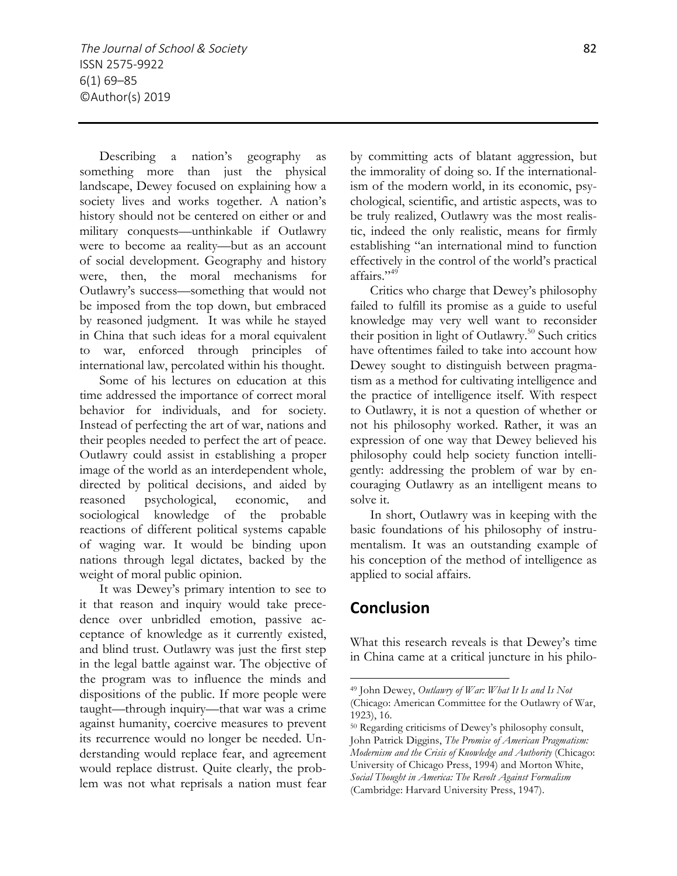Describing a nation's geography as something more than just the physical landscape, Dewey focused on explaining how a society lives and works together. A nation's history should not be centered on either or and military conquests—unthinkable if Outlawry were to become aa reality—but as an account of social development. Geography and history were, then, the moral mechanisms for Outlawry's success—something that would not be imposed from the top down, but embraced by reasoned judgment. It was while he stayed in China that such ideas for a moral equivalent to war, enforced through principles of international law, percolated within his thought.

Some of his lectures on education at this time addressed the importance of correct moral behavior for individuals, and for society. Instead of perfecting the art of war, nations and their peoples needed to perfect the art of peace. Outlawry could assist in establishing a proper image of the world as an interdependent whole, directed by political decisions, and aided by reasoned psychological, economic, and sociological knowledge of the probable reactions of different political systems capable of waging war. It would be binding upon nations through legal dictates, backed by the weight of moral public opinion.

It was Dewey's primary intention to see to it that reason and inquiry would take precedence over unbridled emotion, passive acceptance of knowledge as it currently existed, and blind trust. Outlawry was just the first step in the legal battle against war. The objective of the program was to influence the minds and dispositions of the public. If more people were taught—through inquiry—that war was a crime against humanity, coercive measures to prevent its recurrence would no longer be needed. Understanding would replace fear, and agreement would replace distrust. Quite clearly, the problem was not what reprisals a nation must fear by committing acts of blatant aggression, but the immorality of doing so. If the internationalism of the modern world, in its economic, psychological, scientific, and artistic aspects, was to be truly realized, Outlawry was the most realistic, indeed the only realistic, means for firmly establishing "an international mind to function effectively in the control of the world's practical affairs."<sup>49</sup>

Critics who charge that Dewey's philosophy failed to fulfill its promise as a guide to useful knowledge may very well want to reconsider their position in light of Outlawry.<sup>50</sup> Such critics have oftentimes failed to take into account how Dewey sought to distinguish between pragmatism as a method for cultivating intelligence and the practice of intelligence itself. With respect to Outlawry, it is not a question of whether or not his philosophy worked. Rather, it was an expression of one way that Dewey believed his philosophy could help society function intelligently: addressing the problem of war by encouraging Outlawry as an intelligent means to solve it.

In short, Outlawry was in keeping with the basic foundations of his philosophy of instrumentalism. It was an outstanding example of his conception of the method of intelligence as applied to social affairs.

### **Conclusion**

 $\overline{a}$ 

What this research reveals is that Dewey's time in China came at a critical juncture in his philo-

<sup>49</sup> John Dewey, *Outlawry of War: What It Is and Is Not* (Chicago: American Committee for the Outlawry of War, 1923), 16.

<sup>50</sup> Regarding criticisms of Dewey's philosophy consult, John Patrick Diggins, *The Promise of American Pragmatism: Modernism and the Crisis of Knowledge and Authority* (Chicago: University of Chicago Press, 1994) and Morton White, *Social Thought in America: The Revolt Against Formalism* (Cambridge: Harvard University Press, 1947).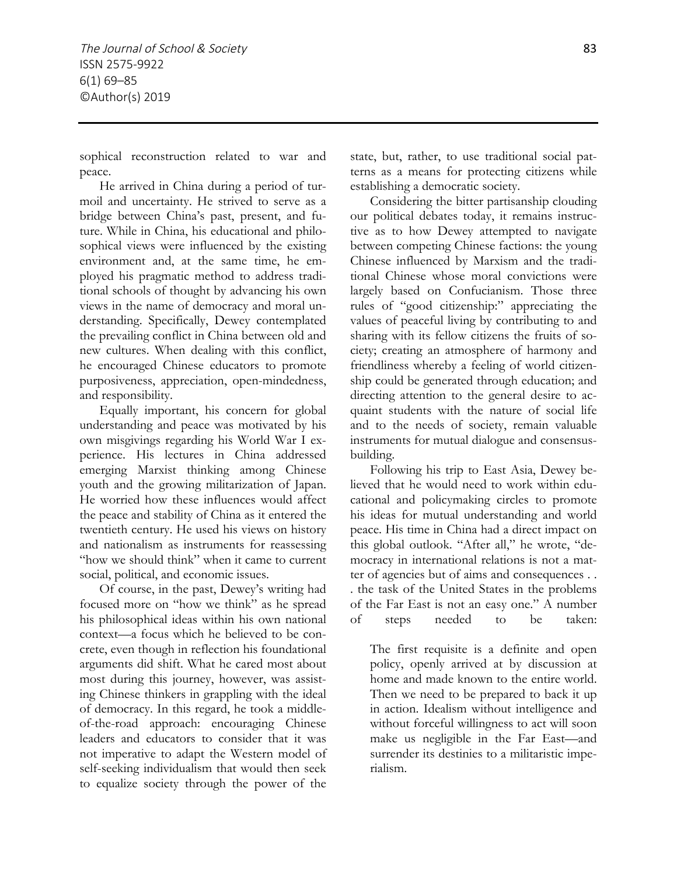sophical reconstruction related to war and peace.

He arrived in China during a period of turmoil and uncertainty. He strived to serve as a bridge between China's past, present, and future. While in China, his educational and philosophical views were influenced by the existing environment and, at the same time, he employed his pragmatic method to address traditional schools of thought by advancing his own views in the name of democracy and moral understanding. Specifically, Dewey contemplated the prevailing conflict in China between old and new cultures. When dealing with this conflict, he encouraged Chinese educators to promote purposiveness, appreciation, open-mindedness, and responsibility.

Equally important, his concern for global understanding and peace was motivated by his own misgivings regarding his World War I experience. His lectures in China addressed emerging Marxist thinking among Chinese youth and the growing militarization of Japan. He worried how these influences would affect the peace and stability of China as it entered the twentieth century. He used his views on history and nationalism as instruments for reassessing "how we should think" when it came to current social, political, and economic issues.

Of course, in the past, Dewey's writing had focused more on "how we think" as he spread his philosophical ideas within his own national context—a focus which he believed to be concrete, even though in reflection his foundational arguments did shift. What he cared most about most during this journey, however, was assisting Chinese thinkers in grappling with the ideal of democracy. In this regard, he took a middleof-the-road approach: encouraging Chinese leaders and educators to consider that it was not imperative to adapt the Western model of self-seeking individualism that would then seek to equalize society through the power of the

state, but, rather, to use traditional social patterns as a means for protecting citizens while establishing a democratic society.

Considering the bitter partisanship clouding our political debates today, it remains instructive as to how Dewey attempted to navigate between competing Chinese factions: the young Chinese influenced by Marxism and the traditional Chinese whose moral convictions were largely based on Confucianism. Those three rules of "good citizenship:" appreciating the values of peaceful living by contributing to and sharing with its fellow citizens the fruits of society; creating an atmosphere of harmony and friendliness whereby a feeling of world citizenship could be generated through education; and directing attention to the general desire to acquaint students with the nature of social life and to the needs of society, remain valuable instruments for mutual dialogue and consensusbuilding.

Following his trip to East Asia, Dewey believed that he would need to work within educational and policymaking circles to promote his ideas for mutual understanding and world peace. His time in China had a direct impact on this global outlook. "After all," he wrote, "democracy in international relations is not a matter of agencies but of aims and consequences . . . the task of the United States in the problems of the Far East is not an easy one." A number of steps needed to be taken:

The first requisite is a definite and open policy, openly arrived at by discussion at home and made known to the entire world. Then we need to be prepared to back it up in action. Idealism without intelligence and without forceful willingness to act will soon make us negligible in the Far East—and surrender its destinies to a militaristic imperialism.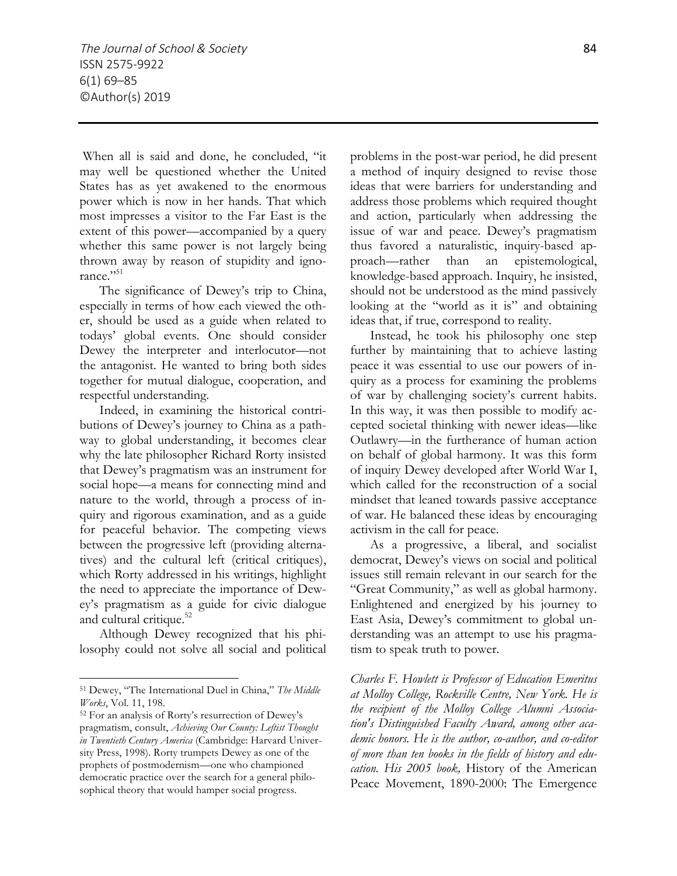When all is said and done, he concluded, "it may well be questioned whether the United States has as yet awakened to the enormous power which is now in her hands. That which most impresses a visitor to the Far East is the extent of this power—accompanied by a query whether this same power is not largely being thrown away by reason of stupidity and ignorance."<sup>51</sup>

The significance of Dewey's trip to China, especially in terms of how each viewed the other, should be used as a guide when related to todays' global events. One should consider Dewey the interpreter and interlocutor—not the antagonist. He wanted to bring both sides together for mutual dialogue, cooperation, and respectful understanding.

Indeed, in examining the historical contributions of Dewey's journey to China as a pathway to global understanding, it becomes clear why the late philosopher Richard Rorty insisted that Dewey's pragmatism was an instrument for social hope—a means for connecting mind and nature to the world, through a process of inquiry and rigorous examination, and as a guide for peaceful behavior. The competing views between the progressive left (providing alternatives) and the cultural left (critical critiques), which Rorty addressed in his writings, highlight the need to appreciate the importance of Dewey's pragmatism as a guide for civic dialogue and cultural critique.<sup>52</sup>

Although Dewey recognized that his philosophy could not solve all social and political

 $\overline{a}$ 

problems in the post-war period, he did present a method of inquiry designed to revise those ideas that were barriers for understanding and address those problems which required thought and action, particularly when addressing the issue of war and peace. Dewey's pragmatism thus favored a naturalistic, inquiry-based approach—rather than an epistemological, knowledge-based approach. Inquiry, he insisted, should not be understood as the mind passively looking at the "world as it is" and obtaining ideas that, if true, correspond to reality.

Instead, he took his philosophy one step further by maintaining that to achieve lasting peace it was essential to use our powers of inquiry as a process for examining the problems of war by challenging society's current habits. In this way, it was then possible to modify accepted societal thinking with newer ideas—like Outlawry—in the furtherance of human action on behalf of global harmony. It was this form of inquiry Dewey developed after World War I, which called for the reconstruction of a social mindset that leaned towards passive acceptance of war. He balanced these ideas by encouraging activism in the call for peace.

As a progressive, a liberal, and socialist democrat, Dewey's views on social and political issues still remain relevant in our search for the "Great Community," as well as global harmony. Enlightened and energized by his journey to East Asia, Dewey's commitment to global understanding was an attempt to use his pragmatism to speak truth to power.

*Charles F. Howlett is Professor of Education Emeritus at Molloy College, Rockville Centre, New York. He is the recipient of the Molloy College Alumni Association's Distinguished Faculty Award, among other academic honors. He is the author, co-author, and co-editor of more than ten books in the fields of history and education. His 2005 book,* History of the American Peace Movement, 1890-2000: The Emergence

<sup>51</sup> Dewey, "The International Duel in China," *The Middle Works*, Vol. 11, 198.

<sup>52</sup> For an analysis of Rorty's resurrection of Dewey's pragmatism, consult, *Achieving Our County: Leftist Thought in Twentieth Century America* (Cambridge: Harvard University Press, 1998). Rorty trumpets Dewey as one of the prophets of postmodernism—one who championed democratic practice over the search for a general philosophical theory that would hamper social progress.